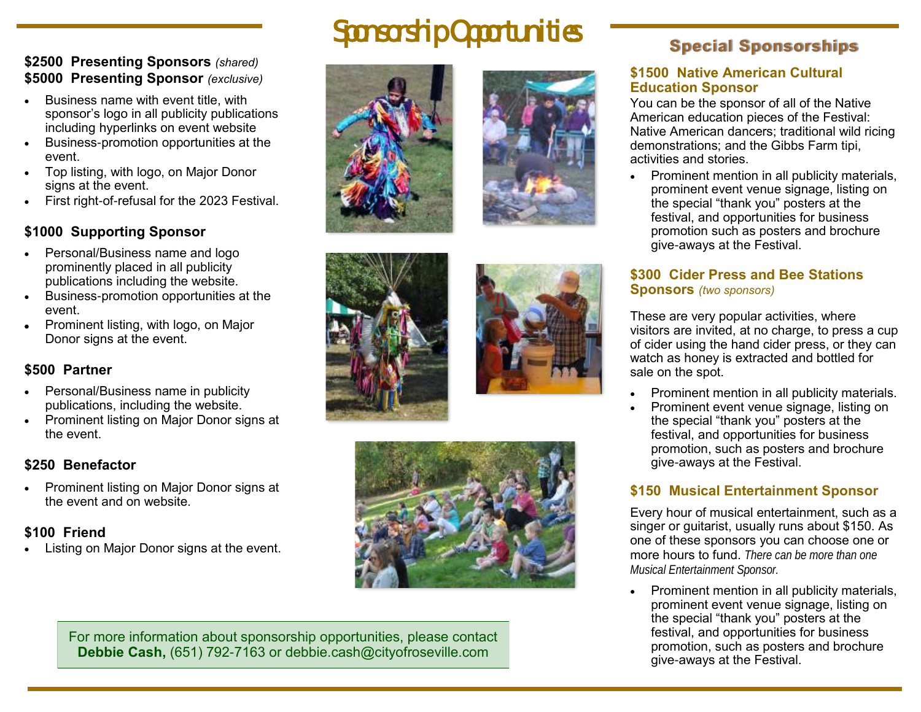### **\$2500 Presenting Sponsors** *(shared)* **\$5000 Presenting Sponsor** *(exclusive)*

- Business name with event title, with sponsor's logo in all publicity publications including hyperlinks on event website
- Business-promotion opportunities at the event.
- Top listing, with logo, on Major Donor signs at the event.
- First right-of-refusal for the 2023 Festival.

## **\$1000 Supporting Sponsor**

- Personal/Business name and logo prominently placed in all publicity publications including the website.
- Business-promotion opportunities at the event.
- Prominent listing, with logo, on Major Donor signs at the event.

# **\$500 Partner**

- Personal/Business name in publicity publications, including the website.
- Prominent listing on Major Donor signs at the event.

# **\$250 Benefactor**

 Prominent listing on Major Donor signs at the event and on website.

# **\$100 Friend**

Listing on Major Donor signs at the event.

# Sponsorship Opportunities









For more information about sponsorship opportunities, please contact **Debbie Cash,** (651) 792-7163 or debbie.cash@cityofroseville.com

# **Special Sponsorships**

#### **\$1500 Native American Cultural Education Sponsor**

You can be the sponsor of all of the Native American education pieces of the Festival: Native American dancers; traditional wild ricing demonstrations; and the Gibbs Farm tipi, activities and stories.

 Prominent mention in all publicity materials, prominent event venue signage, listing on the special "thank you" posters at the festival, and opportunities for business promotion such as posters and brochure give-aways at the Festival.

## **\$300 Cider Press and Bee Stations Sponsors** *(two sponsors)*

These are very popular activities, where visitors are invited, at no charge, to press a cup of cider using the hand cider press, or they can watch as honey is extracted and bottled for sale on the spot.

- Prominent mention in all publicity materials.
- Prominent event venue signage, listing on the special "thank you" posters at the festival, and opportunities for business promotion, such as posters and brochure give-aways at the Festival.

# **\$150 Musical Entertainment Sponsor**

Every hour of musical entertainment, such as a singer or guitarist, usually runs about \$150. As one of these sponsors you can choose one or more hours to fund. *There can be more than one Musical Entertainment Sponsor.*

• Prominent mention in all publicity materials, prominent event venue signage, listing on the special "thank you" posters at the festival, and opportunities for business promotion, such as posters and brochure give-aways at the Festival.